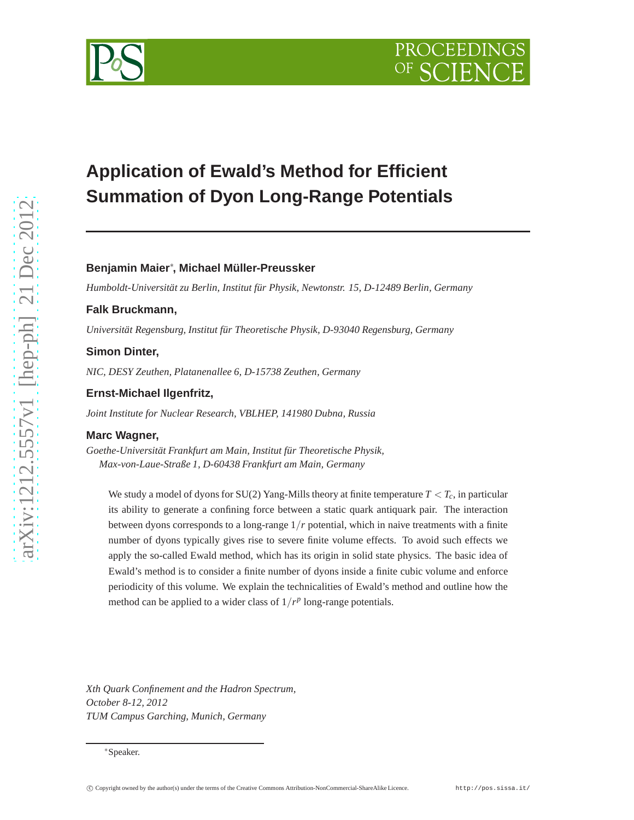# **Application of Ewald's Method for Efficient Summation of Dyon Long-Range Potentials**

# **Benjamin Maier**∗ **, Michael Müller-Preussker**

*Humboldt-Universität zu Berlin, Institut für Physik, Newtonstr. 15, D-12489 Berlin, Germany*

# **Falk Bruckmann,**

*Universität Regensburg, Institut für Theoretische Physik, D-93040 Regensburg, Germany*

#### **Simon Dinter,**

*NIC, DESY Zeuthen, Platanenallee 6, D-15738 Zeuthen, Germany*

#### **Ernst-Michael Ilgenfritz,**

*Joint Institute for Nuclear Research, VBLHEP, 141980 Dubna, Russia*

#### **Marc Wagner,**

*Goethe-Universität Frankfurt am Main, Institut für Theoretische Physik, Max-von-Laue-Straße 1, D-60438 Frankfurt am Main, Germany*

We study a model of dyons for SU(2) Yang-Mills theory at finite temperature  $T < T_c$ , in particular its ability to generate a confining force between a static quark antiquark pair. The interaction between dyons corresponds to a long-range 1/*r* potential, which in naive treatments with a finite number of dyons typically gives rise to severe finite volume effects. To avoid such effects we apply the so-called Ewald method, which has its origin in solid state physics. The basic idea of Ewald's method is to consider a finite number of dyons inside a finite cubic volume and enforce periodicity of this volume. We explain the technicalities of Ewald's method and outline how the method can be applied to a wider class of  $1/r^p$  long-range potentials.

*Xth Quark Confinement and the Hadron Spectrum, October 8-12, 2012 TUM Campus Garching, Munich, Germany*



<sup>∗</sup>Speaker.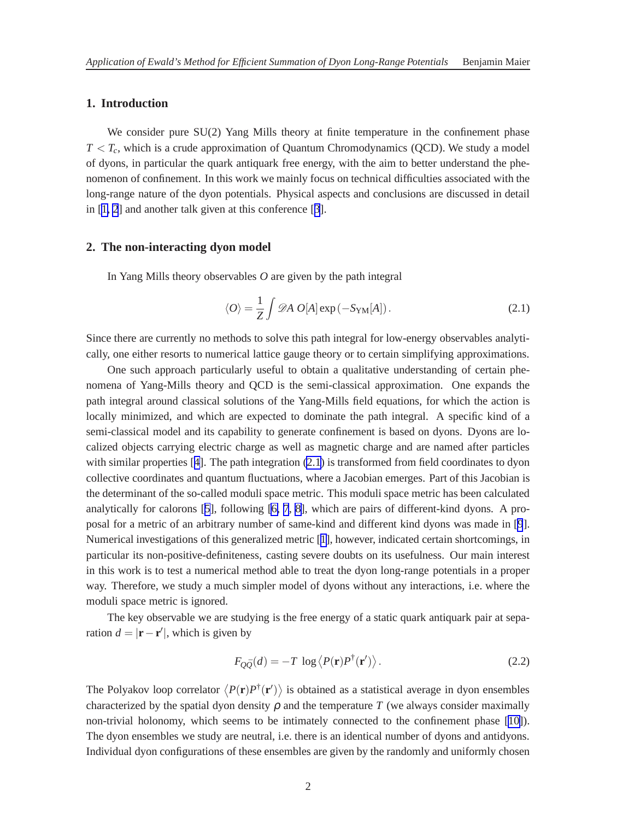# <span id="page-1-0"></span>**1. Introduction**

We consider pure  $SU(2)$  Yang Mills theory at finite temperature in the confinement phase  $T < T_c$ , which is a crude approximation of Quantum Chromodynamics (QCD). We study a model of dyons, in particular the quark antiquark free energy, with the aim to better understand the phenomenon of confinement. In this work we mainly focus on technical difficulties associated with the long-range nature of the dyon potentials. Physical aspects and conclusions are discussed in detail in [\[1, 2](#page-7-0)] and another talk given at this conference [[3](#page-7-0)].

# **2. The non-interacting dyon model**

In Yang Mills theory observables *O* are given by the path integral

$$
\langle O \rangle = \frac{1}{Z} \int \mathcal{D}A \ O[A] \exp(-S_{\rm YM}[A]). \tag{2.1}
$$

Since there are currently no methods to solve this path integral for low-energy observables analytically, one either resorts to numerical lattice gauge theory or to certain simplifying approximations.

One such approach particularly useful to obtain a qualitative understanding of certain phenomena of Yang-Mills theory and QCD is the semi-classical approximation. One expands the path integral around classical solutions of the Yang-Mills field equations, for which the action is locally minimized, and which are expected to dominate the path integral. A specific kind of a semi-classical model and its capability to generate confinement is based on dyons. Dyons are localized objects carrying electric charge as well as magnetic charge and are named after particles with similar properties [[4](#page-7-0)]. The path integration (2.1) is transformed from field coordinates to dyon collective coordinates and quantum fluctuations, where a Jacobian emerges. Part of this Jacobian is the determinant of the so-called moduli space metric. This moduli space metric has been calculated analytically for calorons [[5](#page-7-0)], following [\[6, 7](#page-7-0), [8\]](#page-7-0), which are pairs of different-kind dyons. A proposal for a metric of an arbitrary number of same-kind and different kind dyons was made in [\[9](#page-7-0)]. Numerical investigations of this generalized metric [[1](#page-7-0)], however, indicated certain shortcomings, in particular its non-positive-definiteness, casting severe doubts on its usefulness. Our main interest in this work is to test a numerical method able to treat the dyon long-range potentials in a proper way. Therefore, we study a much simpler model of dyons without any interactions, i.e. where the moduli space metric is ignored.

The key observable we are studying is the free energy of a static quark antiquark pair at separation  $d = |\mathbf{r} - \mathbf{r}'|$ , which is given by

$$
F_{Q\bar{Q}}(d) = -T \log \langle P(\mathbf{r})P^{\dagger}(\mathbf{r}') \rangle. \tag{2.2}
$$

The Polyakov loop correlator  $\langle P(\mathbf{r})P^{\dagger}(\mathbf{r}')\rangle$  is obtained as a statistical average in dyon ensembles characterized by the spatial dyon density  $\rho$  and the temperature *T* (we always consider maximally non-trivial holonomy, which seems to be intimately connected to the confinement phase [\[10\]](#page-7-0)). The dyon ensembles we study are neutral, i.e. there is an identical number of dyons and antidyons. Individual dyon configurations of these ensembles are given by the randomly and uniformly chosen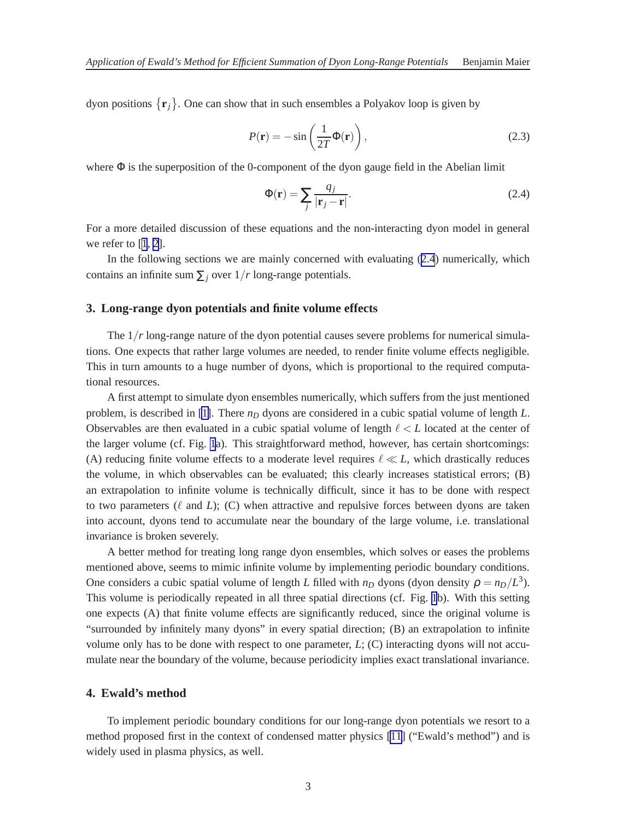dyon positions  $\{r_j\}$ . One can show that in such ensembles a Polyakov loop is given by

$$
P(\mathbf{r}) = -\sin\left(\frac{1}{2T}\Phi(\mathbf{r})\right),\tag{2.3}
$$

where  $\Phi$  is the superposition of the 0-component of the dyon gauge field in the Abelian limit

$$
\Phi(\mathbf{r}) = \sum_{j} \frac{q_j}{|\mathbf{r}_j - \mathbf{r}|}.
$$
\n(2.4)

For a more detailed discussion of these equations and the non-interacting dyon model in general we refer to [[1](#page-7-0), [2](#page-7-0)].

In the following sections we are mainly concerned with evaluating (2.4) numerically, which contains an infinite sum  $\sum_i$  over  $1/r$  long-range potentials.

#### **3. Long-range dyon potentials and finite volume effects**

The  $1/r$  long-range nature of the dyon potential causes severe problems for numerical simulations. One expects that rather large volumes are needed, to render finite volume effects negligible. This in turn amounts to a huge number of dyons, which is proportional to the required computational resources.

A first attempt to simulate dyon ensembles numerically, which suffers from the just mentioned problem, is described in [\[1\]](#page-7-0). There *n<sup>D</sup>* dyons are considered in a cubic spatial volume of length *L*. Observables are then evaluated in a cubic spatial volume of length ℓ < *L* located at the center of the larger volume (cf. Fig. [1](#page-3-0)a). This straightforward method, however, has certain shortcomings: (A) reducing finite volume effects to a moderate level requires  $\ell \ll L$ , which drastically reduces the volume, in which observables can be evaluated; this clearly increases statistical errors; (B) an extrapolation to infinite volume is technically difficult, since it has to be done with respect to two parameters (ℓ and *L*); (C) when attractive and repulsive forces between dyons are taken into account, dyons tend to accumulate near the boundary of the large volume, i.e. translational invariance is broken severely.

A better method for treating long range dyon ensembles, which solves or eases the problems mentioned above, seems to mimic infinite volume by implementing periodic boundary conditions. One considers a cubic spatial volume of length *L* filled with  $n_D$  dyons (dyon density  $\rho = n_D/L^3$ ). This volume is periodically repeated in all three spatial directions (cf. Fig. [1](#page-3-0)b). With this setting one expects (A) that finite volume effects are significantly reduced, since the original volume is "surrounded by infinitely many dyons" in every spatial direction; (B) an extrapolation to infinite volume only has to be done with respect to one parameter,  $L$ ;  $(C)$  interacting dyons will not accumulate near the boundary of the volume, because periodicity implies exact translational invariance.

#### **4. Ewald's method**

To implement periodic boundary conditions for our long-range dyon potentials we resort to a method proposed first in the context of condensed matter physics [\[11](#page-7-0)] ("Ewald's method") and is widely used in plasma physics, as well.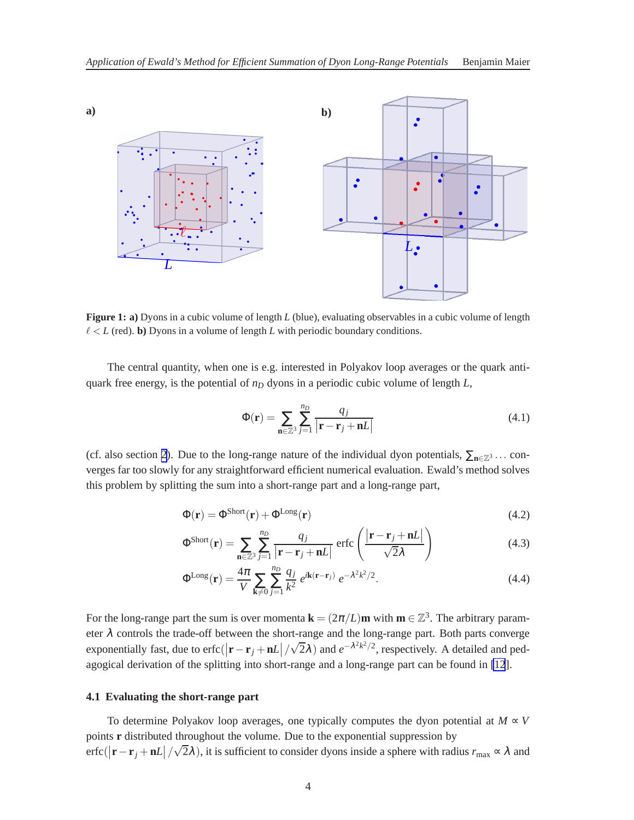<span id="page-3-0"></span>

**Figure 1: a)** Dyons in a cubic volume of length *L* (blue), evaluating observables in a cubic volume of length  $\ell < L$  (red). **b**) Dyons in a volume of length *L* with periodic boundary conditions.

The central quantity, when one is e.g. interested in Polyakov loop averages or the quark antiquark free energy, is the potential of *n<sup>D</sup>* dyons in a periodic cubic volume of length *L*,

$$
\Phi(\mathbf{r}) = \sum_{\mathbf{n} \in \mathbb{Z}^3} \sum_{j=1}^{n_D} \frac{q_j}{|\mathbf{r} - \mathbf{r}_j + \mathbf{n}L|} \tag{4.1}
$$

(cf. also section [2](#page-1-0)). Due to the long-range nature of the individual dyon potentials,  $\sum_{n\in\mathbb{Z}^3}$ ... converges far too slowly for any straightforward efficient numerical evaluation. Ewald's method solves this problem by splitting the sum into a short-range part and a long-range part,

$$
\Phi(\mathbf{r}) = \Phi^{\text{Short}}(\mathbf{r}) + \Phi^{\text{Long}}(\mathbf{r})
$$
\n(4.2)

$$
\Phi^{\text{Short}}(\mathbf{r}) = \sum_{\mathbf{n} \in \mathbb{Z}^3} \sum_{j=1}^{n_D} \frac{q_j}{|\mathbf{r} - \mathbf{r}_j + \mathbf{n}L|} \operatorname{erfc}\left(\frac{|\mathbf{r} - \mathbf{r}_j + \mathbf{n}L|}{\sqrt{2}\lambda}\right)
$$
(4.3)

$$
\Phi^{\text{Long}}(\mathbf{r}) = \frac{4\pi}{V} \sum_{\mathbf{k}\neq 0} \sum_{j=1}^{n_D} \frac{q_j}{k^2} e^{i\mathbf{k}(\mathbf{r}-\mathbf{r}_j)} e^{-\lambda^2 k^2/2}.
$$
 (4.4)

For the long-range part the sum is over momenta  $\mathbf{k} = (2\pi/L)\mathbf{m}$  with  $\mathbf{m} \in \mathbb{Z}^3$ . The arbitrary parameter  $\lambda$  controls the trade-off between the short-range and the long-range part. Both parts converge exponentially fast, due to erfc( $|\mathbf{r} - \mathbf{r}_j + \mathbf{n}L| / \sqrt{2\lambda}$ ) and  $e^{-\lambda^2 k^2/2}$ , respectively. A detailed and pedagogical derivation of the splitting into short-range and a long-range part can be found in [\[12](#page-7-0)].

#### **4.1 Evaluating the short-range part**

To determine Polyakov loop averages, one typically computes the dyon potential at  $M \propto V$ points **r** distributed throughout the volume. Due to the exponential suppression by  $\text{erfc}(|\mathbf{r}-\mathbf{r}_j+\mathbf{n}L|/\sqrt{2\lambda})$ , it is sufficient to consider dyons inside a sphere with radius  $r_{\text{max}} \propto \lambda$  and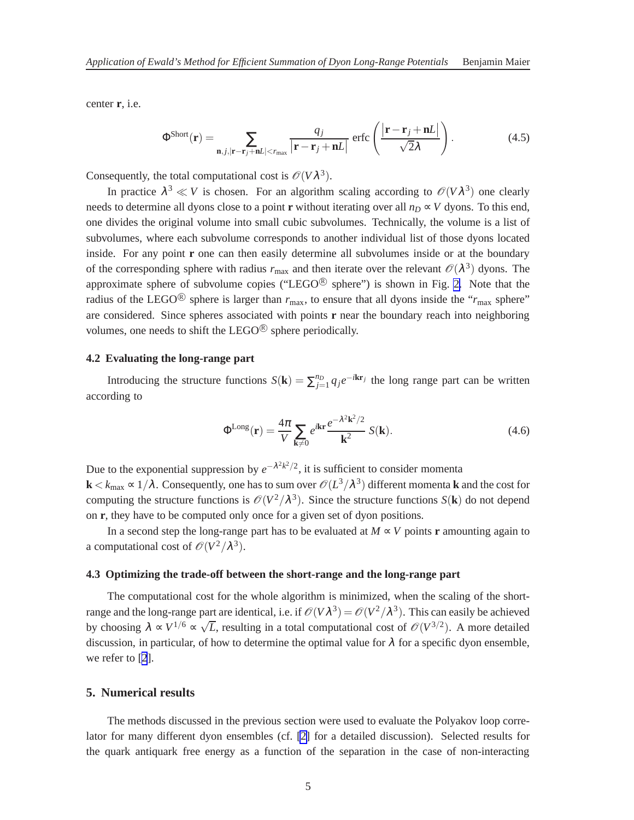center **r**, i.e.

$$
\Phi^{\text{Short}}(\mathbf{r}) = \sum_{\mathbf{n},j,|\mathbf{r}-\mathbf{r}_j+\mathbf{n}L|
$$

Consequently, the total computational cost is  $\mathcal{O}(V\lambda^3)$ .

In practice  $\lambda^3 \ll V$  is chosen. For an algorithm scaling according to  $\mathcal{O}(V\lambda^3)$  one clearly needs to determine all dyons close to a point **r** without iterating over all  $n_D \propto V$  dyons. To this end, one divides the original volume into small cubic subvolumes. Technically, the volume is a list of subvolumes, where each subvolume corresponds to another individual list of those dyons located inside. For any point **r** one can then easily determine all subvolumes inside or at the boundary of the corresponding sphere with radius  $r_{\text{max}}$  and then iterate over the relevant  $\mathcal{O}(\lambda^3)$  dyons. The approximate sphere of subvolume copies ("LEGO $^{\circledR}$  sphere") is shown in Fig. [2.](#page-5-0) Note that the radius of the LEGO<sup>®</sup> sphere is larger than  $r_{\text{max}}$ , to ensure that all dyons inside the " $r_{\text{max}}$  sphere" are considered. Since spheres associated with points **r** near the boundary reach into neighboring volumes, one needs to shift the LEGO $\textcircled{\tiny{R}}$  sphere periodically.

# **4.2 Evaluating the long-range part**

Introducing the structure functions  $S(\mathbf{k}) = \sum_{j=1}^{n} q_j e^{-i\mathbf{k}\mathbf{r}_j}$  the long range part can be written according to

$$
\Phi^{\text{Long}}(\mathbf{r}) = \frac{4\pi}{V} \sum_{\mathbf{k}\neq 0} e^{i\mathbf{k}\mathbf{r}} \frac{e^{-\lambda^2 \mathbf{k}^2/2}}{\mathbf{k}^2} S(\mathbf{k}).\tag{4.6}
$$

Due to the exponential suppression by  $e^{-\lambda^2 k^2/2}$ , it is sufficient to consider momenta  $\bf{k}$   $<$   $k_{\rm max}$   $\propto$   $1/\lambda$  . Consequently, one has to sum over  $\mathscr{O}(L^3/\lambda^3)$  different momenta  $\bf{k}$  and the cost for computing the structure functions is  $\mathcal{O}(V^2/\lambda^3)$ . Since the structure functions  $S(\mathbf{k})$  do not depend on **r**, they have to be computed only once for a given set of dyon positions.

In a second step the long-range part has to be evaluated at  $M \propto V$  points **r** amounting again to a computational cost of  $\mathcal{O}(V^2/\lambda^3)$ .

#### **4.3 Optimizing the trade-off between the short-range and the long-range part**

The computational cost for the whole algorithm is minimized, when the scaling of the shortrange and the long-range part are identical, i.e. if  $\mathcal{O}(V\lambda^3) = \mathcal{O}(V^2/\lambda^3)$ . This can easily be achieved by choosing  $\lambda \propto V^{1/6} \propto \sqrt{L}$ , resulting in a total computational cost of  $\mathcal{O}(V^{3/2})$ . A more detailed discussion, in particular, of how to determine the optimal value for  $\lambda$  for a specific dyon ensemble, we refer to [[2](#page-7-0)].

#### **5. Numerical results**

The methods discussed in the previous section were used to evaluate the Polyakov loop correlator for many different dyon ensembles (cf. [\[2\]](#page-7-0) for a detailed discussion). Selected results for the quark antiquark free energy as a function of the separation in the case of non-interacting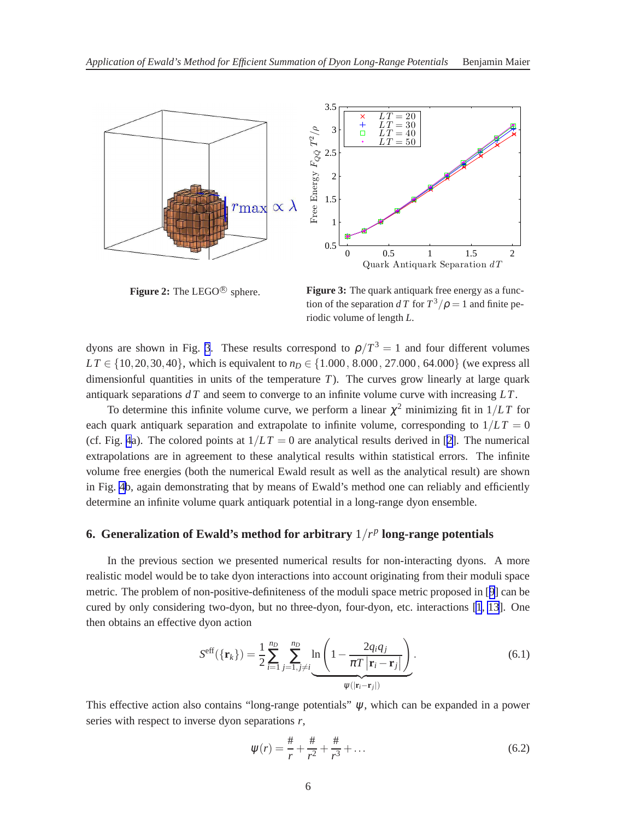<span id="page-5-0"></span>

Figure 2: The LEGO<sup>®</sup> sphere.

**Figure 3:** The quark antiquark free energy as a function of the separation *dT* for  $T^3/\rho = 1$  and finite periodic volume of length *L*.

dyons are shown in Fig. 3. These results correspond to  $\rho/T^3 = 1$  and four different volumes  $LT \in \{10, 20, 30, 40\}$ , which is equivalent to  $n_D \in \{1.000, 8.000, 27.000, 64.000\}$  (we express all dimensionful quantities in units of the temperature  $T$ ). The curves grow linearly at large quark antiquark separations *d T* and seem to converge to an infinite volume curve with increasing *LT*.

To determine this infinite volume curve, we perform a linear  $\chi^2$  minimizing fit in  $1/LT$  for each quark antiquark separation and extrapolate to infinite volume, corresponding to  $1/LT = 0$ (cf. Fig. [4](#page-6-0)a). The colored points at  $1/LT = 0$  are analytical results derived in [[2](#page-7-0)]. The numerical extrapolations are in agreement to these analytical results within statistical errors. The infinite volume free energies (both the numerical Ewald result as well as the analytical result) are shown in Fig. [4b](#page-6-0), again demonstrating that by means of Ewald's method one can reliably and efficiently determine an infinite volume quark antiquark potential in a long-range dyon ensemble.

# **6. Generalization of Ewald's method for arbitrary**  $1/r^p$  long-range potentials

In the previous section we presented numerical results for non-interacting dyons. A more realistic model would be to take dyon interactions into account originating from their moduli space metric. The problem of non-positive-definiteness of the moduli space metric proposed in [[9](#page-7-0)] can be cured by only considering two-dyon, but no three-dyon, four-dyon, etc. interactions [\[1](#page-7-0), [13](#page-7-0)]. One then obtains an effective dyon action

$$
S^{\text{eff}}(\{\mathbf{r}_k\}) = \frac{1}{2} \sum_{i=1}^{n_D} \sum_{j=1, j \neq i}^{n_D} \ln \left( 1 - \frac{2q_i q_j}{\pi T |\mathbf{r}_i - \mathbf{r}_j|} \right). \tag{6.1}
$$

This effective action also contains "long-range potentials"  $\psi$ , which can be expanded in a power series with respect to inverse dyon separations *r*,

$$
\psi(r) = \frac{\#}{r} + \frac{\#}{r^2} + \frac{\#}{r^3} + \dots \tag{6.2}
$$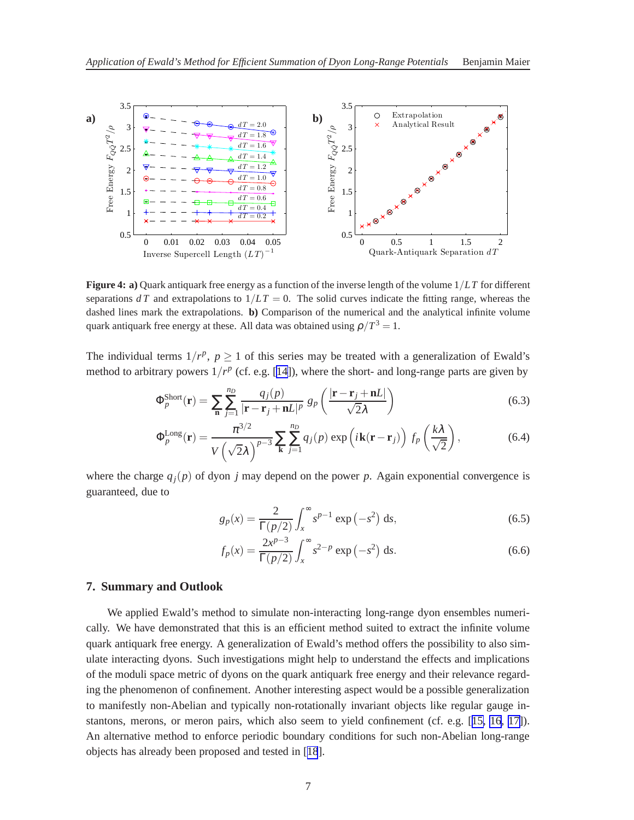<span id="page-6-0"></span>

**Figure 4: a)** Quark antiquark free energy as a function of the inverse length of the volume 1/*LT* for different separations  $dT$  and extrapolations to  $1/LT = 0$ . The solid curves indicate the fitting range, whereas the dashed lines mark the extrapolations. **b)** Comparison of the numerical and the analytical infinite volume quark antiquark free energy at these. All data was obtained using  $\rho/T^3 = 1$ .

The individual terms  $1/r^p$ ,  $p \ge 1$  of this series may be treated with a generalization of Ewald's method to arbitrary powers  $1/r^p$  (cf. e.g. [\[14](#page-7-0)]), where the short- and long-range parts are given by

$$
\Phi_p^{\text{Short}}(\mathbf{r}) = \sum_{\mathbf{n}} \sum_{j=1}^{n_D} \frac{q_j(p)}{|\mathbf{r} - \mathbf{r}_j + \mathbf{n}L|^p} g_p\left(\frac{|\mathbf{r} - \mathbf{r}_j + \mathbf{n}L|}{\sqrt{2\lambda}}\right)
$$
(6.3)

$$
\Phi_p^{\text{Long}}(\mathbf{r}) = \frac{\pi^{3/2}}{V(\sqrt{2}\lambda)^{p-3}} \sum_{\mathbf{k}} \sum_{j=1}^{n_D} q_j(p) \exp\left(i\mathbf{k}(\mathbf{r} - \mathbf{r}_j)\right) f_p\left(\frac{k\lambda}{\sqrt{2}}\right),\tag{6.4}
$$

where the charge  $q_i(p)$  of dyon *j* may depend on the power *p*. Again exponential convergence is guaranteed, due to

$$
g_p(x) = \frac{2}{\Gamma(p/2)} \int_x^{\infty} s^{p-1} \exp\left(-s^2\right) \, \mathrm{d}s,\tag{6.5}
$$

$$
f_p(x) = \frac{2x^{p-3}}{\Gamma(p/2)} \int_x^{\infty} s^{2-p} \exp(-s^2) \, ds. \tag{6.6}
$$

# **7. Summary and Outlook**

We applied Ewald's method to simulate non-interacting long-range dyon ensembles numerically. We have demonstrated that this is an efficient method suited to extract the infinite volume quark antiquark free energy. A generalization of Ewald's method offers the possibility to also simulate interacting dyons. Such investigations might help to understand the effects and implications of the moduli space metric of dyons on the quark antiquark free energy and their relevance regarding the phenomenon of confinement. Another interesting aspect would be a possible generalization to manifestly non-Abelian and typically non-rotationally invariant objects like regular gauge instantons, merons, or meron pairs, which also seem to yield confinement (cf. e.g. [[15, 16](#page-7-0), [17\]](#page-7-0)). An alternative method to enforce periodic boundary conditions for such non-Abelian long-range objects has already been proposed and tested in [[18](#page-7-0)].